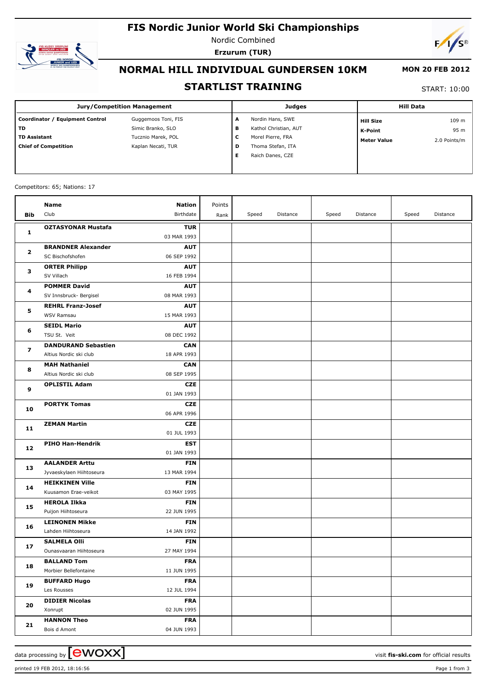# **FIS Nordic Junior World Ski Championships**



Nordic Combined **Erzurum (TUR)**



# **NORMAL HILL INDIVIDUAL GUNDERSEN 10KM**

### **MON 20 FEB 2012**

### **STARTLIST TRAINING**

START: 10:00

| <b>Jury/Competition Management</b> |                     |   | <b>Judges</b>         | <b>Hill Data</b>   |              |  |
|------------------------------------|---------------------|---|-----------------------|--------------------|--------------|--|
| Coordinator / Equipment Control    | Guggemoos Toni, FIS | А | Nordin Hans, SWE      | <b>Hill Size</b>   | 109 m        |  |
| <b>TD</b>                          | Simic Branko, SLO   | в | Kathol Christian, AUT | K-Point            | 95 m         |  |
| <b>TD Assistant</b>                | Tucznio Marek, POL  | L | Morel Pierre, FRA     | <b>Meter Value</b> | 2.0 Points/m |  |
| <b>Chief of Competition</b>        | Kaplan Necati, TUR  | D | Thoma Stefan, ITA     |                    |              |  |
|                                    |                     | Е | Raich Danes, CZE      |                    |              |  |
|                                    |                     |   |                       |                    |              |  |

#### Competitors: 65; Nations: 17

|              | Name                                               | <b>Nation</b>             | Points |       |          |       |          |       |          |
|--------------|----------------------------------------------------|---------------------------|--------|-------|----------|-------|----------|-------|----------|
| Bib          | Club                                               | Birthdate                 | Rank   | Speed | Distance | Speed | Distance | Speed | Distance |
|              | <b>OZTASYONAR Mustafa</b>                          | <b>TUR</b>                |        |       |          |       |          |       |          |
| 1            |                                                    | 03 MAR 1993               |        |       |          |       |          |       |          |
| $\mathbf{2}$ | <b>BRANDNER Alexander</b>                          | <b>AUT</b>                |        |       |          |       |          |       |          |
|              | SC Bischofshofen                                   | 06 SEP 1992               |        |       |          |       |          |       |          |
| з            | <b>ORTER Philipp</b>                               | <b>AUT</b>                |        |       |          |       |          |       |          |
|              | SV Villach                                         | 16 FEB 1994               |        |       |          |       |          |       |          |
|              | <b>POMMER David</b>                                | <b>AUT</b>                |        |       |          |       |          |       |          |
| 4            | SV Innsbruck- Bergisel                             | 08 MAR 1993               |        |       |          |       |          |       |          |
|              | <b>REHRL Franz-Josef</b>                           | <b>AUT</b>                |        |       |          |       |          |       |          |
| 5            | WSV Ramsau                                         | 15 MAR 1993               |        |       |          |       |          |       |          |
| 6            | <b>SEIDL Mario</b>                                 | <b>AUT</b>                |        |       |          |       |          |       |          |
|              | TSU St. Veit                                       | 08 DEC 1992               |        |       |          |       |          |       |          |
| 7            | <b>DANDURAND Sebastien</b>                         | <b>CAN</b>                |        |       |          |       |          |       |          |
|              | Altius Nordic ski club                             | 18 APR 1993               |        |       |          |       |          |       |          |
| 8            | <b>MAH Nathaniel</b>                               | <b>CAN</b>                |        |       |          |       |          |       |          |
|              | Altius Nordic ski club                             | 08 SEP 1995               |        |       |          |       |          |       |          |
| 9            | <b>OPLISTIL Adam</b>                               | <b>CZE</b>                |        |       |          |       |          |       |          |
|              |                                                    | 01 JAN 1993               |        |       |          |       |          |       |          |
| 10           | <b>PORTYK Tomas</b>                                | <b>CZE</b>                |        |       |          |       |          |       |          |
|              |                                                    | 06 APR 1996               |        |       |          |       |          |       |          |
| 11           | <b>ZEMAN Martin</b>                                | <b>CZE</b>                |        |       |          |       |          |       |          |
|              |                                                    | 01 JUL 1993               |        |       |          |       |          |       |          |
| 12           | PIHO Han-Hendrik                                   | <b>EST</b>                |        |       |          |       |          |       |          |
|              |                                                    | 01 JAN 1993               |        |       |          |       |          |       |          |
| 13           | <b>AALANDER Arttu</b>                              | <b>FIN</b><br>13 MAR 1994 |        |       |          |       |          |       |          |
|              | Jyvaeskylaen Hiihtoseura<br><b>HEIKKINEN Ville</b> | <b>FIN</b>                |        |       |          |       |          |       |          |
| 14           | Kuusamon Erae-veikot                               | 03 MAY 1995               |        |       |          |       |          |       |          |
|              | <b>HEROLA Ilkka</b>                                | <b>FIN</b>                |        |       |          |       |          |       |          |
| 15           | Puijon Hiihtoseura                                 | 22 JUN 1995               |        |       |          |       |          |       |          |
|              | <b>LEINONEN Mikke</b>                              | <b>FIN</b>                |        |       |          |       |          |       |          |
| 16           | Lahden Hiihtoseura                                 | 14 JAN 1992               |        |       |          |       |          |       |          |
|              | <b>SALMELA Olli</b>                                | <b>FIN</b>                |        |       |          |       |          |       |          |
| 17           | Ounasvaaran Hiihtoseura                            | 27 MAY 1994               |        |       |          |       |          |       |          |
|              | <b>BALLAND Tom</b>                                 | <b>FRA</b>                |        |       |          |       |          |       |          |
| 18           | Morbier Bellefontaine                              | 11 JUN 1995               |        |       |          |       |          |       |          |
| 19           | <b>BUFFARD Hugo</b>                                | <b>FRA</b>                |        |       |          |       |          |       |          |
|              | Les Rousses                                        | 12 JUL 1994               |        |       |          |       |          |       |          |
|              | <b>DIDIER Nicolas</b>                              | <b>FRA</b>                |        |       |          |       |          |       |          |
| 20           | Xonrupt                                            | 02 JUN 1995               |        |       |          |       |          |       |          |
|              | <b>HANNON Theo</b>                                 | <b>FRA</b>                |        |       |          |       |          |       |          |
| 21           | Bois d Amont                                       | 04 JUN 1993               |        |       |          |       |          |       |          |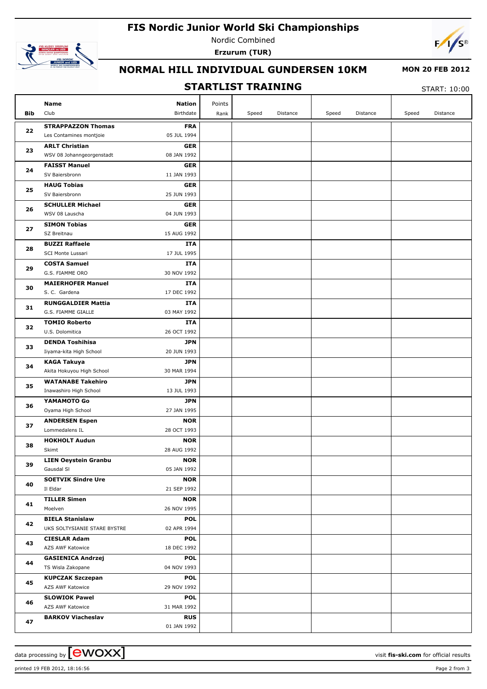## **FIS Nordic Junior World Ski Championships**



Nordic Combined **Erzurum (TUR)**



# **NORMAL HILL INDIVIDUAL GUNDERSEN 10KM**

### **MON 20 FEB 2012**

### **STARTLIST TRAINING**

START: 10:00

|          | Name                                        | <b>Nation</b>             | Points |       |          |       |          |       |          |
|----------|---------------------------------------------|---------------------------|--------|-------|----------|-------|----------|-------|----------|
| Bib      | Club                                        | Birthdate                 | Rank   | Speed | Distance | Speed | Distance | Speed | Distance |
|          | <b>STRAPPAZZON Thomas</b>                   | <b>FRA</b>                |        |       |          |       |          |       |          |
| 22       | Les Contamines montjoie                     | 05 JUL 1994               |        |       |          |       |          |       |          |
|          | <b>ARLT Christian</b>                       | <b>GER</b>                |        |       |          |       |          |       |          |
| 23       | WSV 08 Johanngeorgenstadt                   | 08 JAN 1992               |        |       |          |       |          |       |          |
|          | <b>FAISST Manuel</b>                        | <b>GER</b>                |        |       |          |       |          |       |          |
| 24       | SV Baiersbronn                              | 11 JAN 1993               |        |       |          |       |          |       |          |
| 25       | <b>HAUG Tobias</b>                          | <b>GER</b>                |        |       |          |       |          |       |          |
|          | SV Baiersbronn                              | 25 JUN 1993               |        |       |          |       |          |       |          |
| 26       | <b>SCHULLER Michael</b>                     | <b>GER</b>                |        |       |          |       |          |       |          |
|          | WSV 08 Lauscha                              | 04 JUN 1993               |        |       |          |       |          |       |          |
| 27       | <b>SIMON Tobias</b>                         | <b>GER</b>                |        |       |          |       |          |       |          |
|          | SZ Breitnau                                 | 15 AUG 1992               |        |       |          |       |          |       |          |
| 28       | <b>BUZZI Raffaele</b>                       | ITA                       |        |       |          |       |          |       |          |
|          | SCI Monte Lussari                           | 17 JUL 1995               |        |       |          |       |          |       |          |
| 29       | <b>COSTA Samuel</b><br>G.S. FIAMME ORO      | ITA<br>30 NOV 1992        |        |       |          |       |          |       |          |
|          | <b>MAIERHOFER Manuel</b>                    | <b>ITA</b>                |        |       |          |       |          |       |          |
| 30       | S. C. Gardena                               | 17 DEC 1992               |        |       |          |       |          |       |          |
|          | <b>RUNGGALDIER Mattia</b>                   | ITA                       |        |       |          |       |          |       |          |
| 31       | G.S. FIAMME GIALLE                          | 03 MAY 1992               |        |       |          |       |          |       |          |
|          | <b>TOMIO Roberto</b>                        | ITA                       |        |       |          |       |          |       |          |
| 32<br>33 | U.S. Dolomitica                             | 26 OCT 1992               |        |       |          |       |          |       |          |
|          | <b>DENDA Toshihisa</b>                      | <b>JPN</b>                |        |       |          |       |          |       |          |
|          | Iiyama-kita High School                     | 20 JUN 1993               |        |       |          |       |          |       |          |
| 34       | <b>KAGA Takuya</b>                          | <b>JPN</b>                |        |       |          |       |          |       |          |
|          | Akita Hokuyou High School                   | 30 MAR 1994               |        |       |          |       |          |       |          |
| 35       | <b>WATANABE Takehiro</b>                    | <b>JPN</b>                |        |       |          |       |          |       |          |
|          | Inawashiro High School                      | 13 JUL 1993               |        |       |          |       |          |       |          |
| 36       | YAMAMOTO Go                                 | <b>JPN</b>                |        |       |          |       |          |       |          |
|          | Oyama High School                           | 27 JAN 1995               |        |       |          |       |          |       |          |
| 37       | <b>ANDERSEN Espen</b><br>Lommedalens IL     | <b>NOR</b><br>28 OCT 1993 |        |       |          |       |          |       |          |
|          | <b>HOKHOLT Audun</b>                        | <b>NOR</b>                |        |       |          |       |          |       |          |
| 38       | Skimt                                       | 28 AUG 1992               |        |       |          |       |          |       |          |
|          | <b>LIEN Oeystein Granbu</b>                 | <b>NOR</b>                |        |       |          |       |          |       |          |
| 39       | Gausdal SI                                  | 05 JAN 1992               |        |       |          |       |          |       |          |
|          | <b>SOETVIK Sindre Ure</b>                   | <b>NOR</b>                |        |       |          |       |          |       |          |
| 40       | Il Eldar                                    | 21 SEP 1992               |        |       |          |       |          |       |          |
| 41       | <b>TILLER Simen</b>                         | <b>NOR</b>                |        |       |          |       |          |       |          |
|          | Moelven                                     | 26 NOV 1995               |        |       |          |       |          |       |          |
| 42       | <b>BIELA Stanislaw</b>                      | POL                       |        |       |          |       |          |       |          |
|          | UKS SOLTYSIANIE STARE BYSTRE                | 02 APR 1994               |        |       |          |       |          |       |          |
| 43       | <b>CIESLAR Adam</b>                         | <b>POL</b>                |        |       |          |       |          |       |          |
|          | AZS AWF Katowice                            | 18 DEC 1992               |        |       |          |       |          |       |          |
| 44       | <b>GASIENICA Andrzej</b>                    | POL                       |        |       |          |       |          |       |          |
|          | TS Wisla Zakopane                           | 04 NOV 1993               |        |       |          |       |          |       |          |
| 45       | <b>KUPCZAK Szczepan</b><br>AZS AWF Katowice | <b>POL</b><br>29 NOV 1992 |        |       |          |       |          |       |          |
|          | <b>SLOWIOK Pawel</b>                        | <b>POL</b>                |        |       |          |       |          |       |          |
| 46       | AZS AWF Katowice                            | 31 MAR 1992               |        |       |          |       |          |       |          |
|          | <b>BARKOV Viacheslav</b>                    | <b>RUS</b>                |        |       |          |       |          |       |          |
| 47       |                                             | 01 JAN 1992               |        |       |          |       |          |       |          |
|          |                                             |                           |        |       |          |       |          |       |          |

data processing by  $\boxed{\text{ewOX}}$